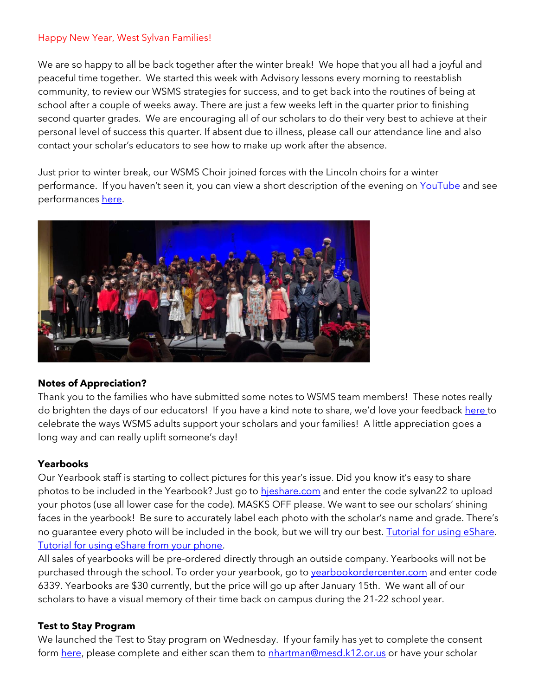#### Happy New Year, West Sylvan Families!

We are so happy to all be back together after the winter break! We hope that you all had a joyful and peaceful time together. We started this week with Advisory lessons every morning to reestablish community, to review our WSMS strategies for success, and to get back into the routines of being at school after a couple of weeks away. There are just a few weeks left in the quarter prior to finishing second quarter grades. We are encouraging all of our scholars to do their very best to achieve at their personal level of success this quarter. If absent due to illness, please call our attendance line and also contact your scholar's educators to see how to make up work after the absence.

Just prior to winter break, our WSMS Choir joined forces with the Lincoln choirs for a winter performance. If you haven't seen it, you can view a short description of the evening on [YouTube](https://youtu.be/gTPvkxxrxpY) and see performance[s here.](https://youtu.be/6jpj2Nu3xz8)



# **Notes of Appreciation?**

Thank you to the families who have submitted some notes to WSMS team members! These notes really do brighten the days of our educators! If you have a kind note to share, we'd love your feedback [here t](https://forms.gle/3TsJKYDfcfbLhiKu7)o celebrate the ways WSMS adults support your scholars and your families! A little appreciation goes a long way and can really uplift someone's day!

# **Yearbooks**

Our Yearbook staff is starting to collect pictures for this year's issue. Did you know it's easy to share photos to be included in the Yearbook? Just go to [hjeshare.com](https://hjeshare.com/eShare/) and enter the code sylvan22 to upload your photos (use all lower case for the code). MASKS OFF please. We want to see our scholars' shining faces in the yearbook! Be sure to accurately label each photo with the scholar's name and grade. There's no guarantee every photo will be included in the book, but we will try our best. [Tutorial for using eShare.](https://herffjones.wistia.com/medias/h1e7m2ythz) [Tutorial for using eShare from your phone.](https://herffjones.wistia.com/medias/62ap3qbbp3)

All sales of yearbooks will be pre-ordered directly through an outside company. Yearbooks will not be purchased through the school. To order your yearbook, go to vearbookordercenter.com and enter code 6339. Yearbooks are \$30 currently, but the price will go up after January 15th. We want all of our scholars to have a visual memory of their time back on campus during the 21-22 school year.

#### **Test to Stay Program**

We launched the Test to Stay program on Wednesday. If your family has yet to complete the consent form [here,](https://sharedsystems.dhsoha.state.or.us/DHSForms/Served/le3560e.pdf) please complete and either scan them to [nhartman@mesd.k12.or.us](mailto:nhartman@mesd.k12.or.us) or have your scholar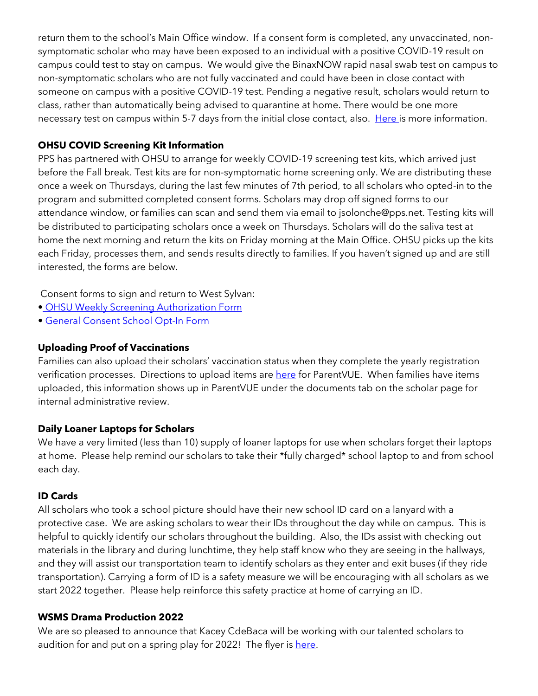return them to the school's Main Office window. If a consent form is completed, any unvaccinated, nonsymptomatic scholar who may have been exposed to an individual with a positive COVID-19 result on campus could test to stay on campus. We would give the BinaxNOW rapid nasal swab test on campus to non-symptomatic scholars who are not fully vaccinated and could have been in close contact with someone on campus with a positive COVID-19 test. Pending a negative result, scholars would return to class, rather than automatically being advised to quarantine at home. There would be one more necessary test on campus within 5-7 days from the initial close contact, also. [Here i](https://docs.google.com/document/d/1RiifxD8ZyotgtTy4q0zU6VYEbklFNPNaDJapztiE6EI/edit?usp=sharing)s more information.

### **OHSU COVID Screening Kit Information**

PPS has partnered with OHSU to arrange for weekly COVID-19 screening test kits, which arrived just before the Fall break. Test kits are for non-symptomatic home screening only. We are distributing these once a week on Thursdays, during the last few minutes of 7th period, to all scholars who opted-in to the program and submitted completed consent forms. Scholars may drop off signed forms to our attendance window, or families can scan and send them via email to jsolonche@pps.net. Testing kits will be distributed to participating scholars once a week on Thursdays. Scholars will do the saliva test at home the next morning and return the kits on Friday morning at the Main Office. OHSU picks up the kits each Friday, processes them, and sends results directly to families. If you haven't signed up and are still interested, the forms are below.

Consent forms to sign and return to West Sylvan:

- [•](https://drive.google.com/file/d/1WKfLwknOXIYGfjiVTURKB7wvlQW8DAhR/view?usp=sharing) [OHSU Weekly Screening Authorization Form](https://drive.google.com/file/d/1WKfLwknOXIYGfjiVTURKB7wvlQW8DAhR/view?usp=sharing)
- [•](https://drive.google.com/file/d/1JELJW3M6_gp013Dp_Z7QDpvKmsqC5G-S/view?usp=sharing) [General Consent School Opt-In Form](https://drive.google.com/file/d/1JELJW3M6_gp013Dp_Z7QDpvKmsqC5G-S/view?usp=sharing)

### **Uploading Proof of Vaccinations**

Families can also upload their scholars' vaccination status when they complete the yearly registration verification processes. Directions to upload items ar[e here](https://docs.google.com/document/d/1AxHhVVEjAqJxV1Vuh9PnfwkZHcp-Tde_x6iFOOEy58Y/edit) for ParentVUE. When families have items uploaded, this information shows up in ParentVUE under the documents tab on the scholar page for internal administrative review.

# **Daily Loaner Laptops for Scholars**

We have a very limited (less than 10) supply of loaner laptops for use when scholars forget their laptops at home. Please help remind our scholars to take their \*fully charged\* school laptop to and from school each day.

#### **ID Cards**

All scholars who took a school picture should have their new school ID card on a lanyard with a protective case. We are asking scholars to wear their IDs throughout the day while on campus. This is helpful to quickly identify our scholars throughout the building. Also, the IDs assist with checking out materials in the library and during lunchtime, they help staff know who they are seeing in the hallways, and they will assist our transportation team to identify scholars as they enter and exit buses (if they ride transportation). Carrying a form of ID is a safety measure we will be encouraging with all scholars as we start 2022 together. Please help reinforce this safety practice at home of carrying an ID.

#### **WSMS Drama Production 2022**

We are so pleased to announce that Kacey CdeBaca will be working with our talented scholars to audition for and put on a spring play for 2022! The flyer is [here.](https://drive.google.com/file/d/1IaZuyQpo8qyHRZaSCV1EA3nsbkW7OiVS/view?usp=sharing)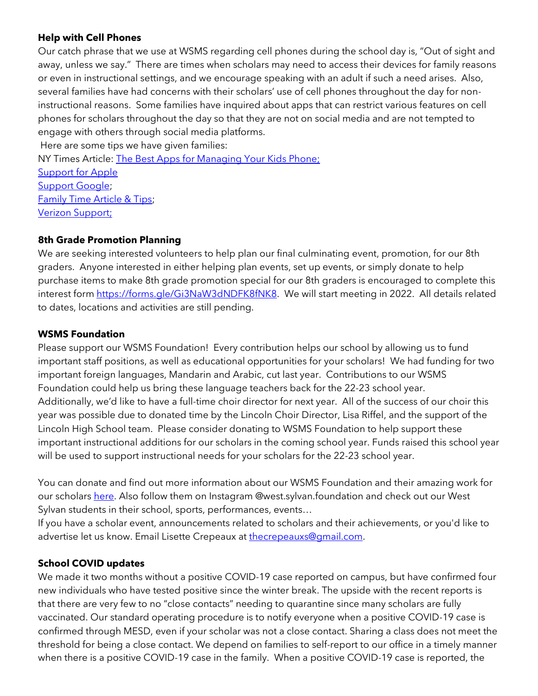#### **Help with Cell Phones**

Our catch phrase that we use at WSMS regarding cell phones during the school day is, "Out of sight and away, unless we say." There are times when scholars may need to access their devices for family reasons or even in instructional settings, and we encourage speaking with an adult if such a need arises. Also, several families have had concerns with their scholars' use of cell phones throughout the day for noninstructional reasons. Some families have inquired about apps that can restrict various features on cell phones for scholars throughout the day so that they are not on social media and are not tempted to engage with others through social media platforms.

Here are some tips we have given families: NY Times Article: [The Best Apps for Managing Your Kids Phone;](https://www.nytimes.com/wirecutter/reviews/best-apps-to-manage-your-kids-phone/) [Support for Apple](https://support.apple.com/guide/iphone/set-up-parental-controls-iph00ba7d632/ios) [Support Google;](https://support.google.com/families/answer/7103340?hl=en) [Family Time Article & Tips;](https://familytime.io/) [Verizon Support;](https://www.verizon.com/support/verizon-smart-family-restrictions-video/)

# **8th Grade Promotion Planning**

We are seeking interested volunteers to help plan our final culminating event, promotion, for our 8th graders. Anyone interested in either helping plan events, set up events, or simply donate to help purchase items to make 8th grade promotion special for our 8th graders is encouraged to complete this interest form [https://forms.gle/Gi3NaW3dNDFK8fNK8.](https://forms.gle/Gi3NaW3dNDFK8fNK8) We will start meeting in 2022. All details related to dates, locations and activities are still pending.

### **WSMS Foundation**

Please support our WSMS Foundation! Every contribution helps our school by allowing us to fund important staff positions, as well as educational opportunities for your scholars! We had funding for two important foreign languages, Mandarin and Arabic, cut last year. Contributions to our WSMS Foundation could help us bring these language teachers back for the 22-23 school year. Additionally, we'd like to have a full-time choir director for next year. All of the success of our choir this year was possible due to donated time by the Lincoln Choir Director, Lisa Riffel, and the support of the Lincoln High School team. Please consider donating to WSMS Foundation to help support these important instructional additions for our scholars in the coming school year. Funds raised this school year will be used to support instructional needs for your scholars for the 22-23 school year.

You can donate and find out more information about our WSMS Foundation and their amazing work for our scholar[s here.](https://www.westsylvanfoundation.com/) Also follow them on Instagram @west.sylvan.foundation and check out our West Sylvan students in their school, sports, performances, events…

If you have a scholar event, announcements related to scholars and their achievements, or you'd like to advertise let us know. Email Lisette Crepeaux at [thecrepeauxs@gmail.com.](mailto:thecrepeauxs@gmail.com)

# **School COVID updates**

We made it two months without a positive COVID-19 case reported on campus, but have confirmed four new individuals who have tested positive since the winter break. The upside with the recent reports is that there are very few to no "close contacts" needing to quarantine since many scholars are fully vaccinated. Our standard operating procedure is to notify everyone when a positive COVID-19 case is confirmed through MESD, even if your scholar was not a close contact. Sharing a class does not meet the threshold for being a close contact. We depend on families to self-report to our office in a timely manner when there is a positive COVID-19 case in the family. When a positive COVID-19 case is reported, the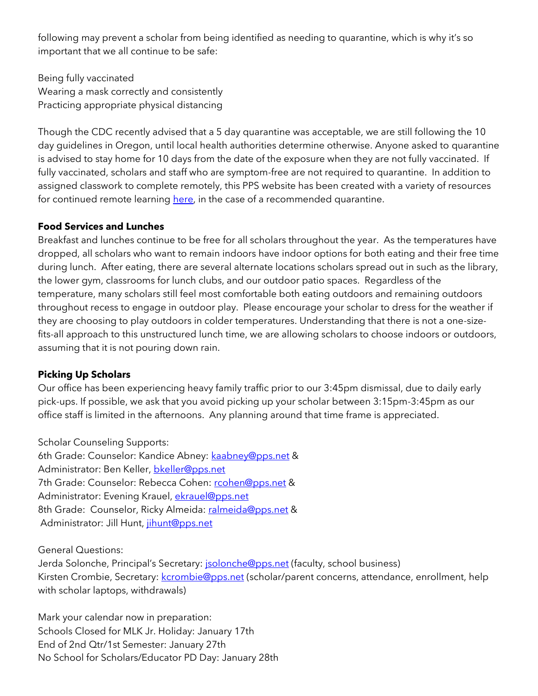following may prevent a scholar from being identified as needing to quarantine, which is why it's so important that we all continue to be safe:

Being fully vaccinated Wearing a mask correctly and consistently Practicing appropriate physical distancing

Though the CDC recently advised that a 5 day quarantine was acceptable, we are still following the 10 day guidelines in Oregon, until local health authorities determine otherwise. Anyone asked to quarantine is advised to stay home for 10 days from the date of the exposure when they are not fully vaccinated. If fully vaccinated, scholars and staff who are symptom-free are not required to quarantine. In addition to assigned classwork to complete remotely, this PPS website has been created with a variety of resources for continued remote learning [here,](https://sites.google.com/pps.net/ppsquarantinelessons/home?authuser=0) in the case of a recommended quarantine.

### **Food Services and Lunches**

Breakfast and lunches continue to be free for all scholars throughout the year. As the temperatures have dropped, all scholars who want to remain indoors have indoor options for both eating and their free time during lunch. After eating, there are several alternate locations scholars spread out in such as the library, the lower gym, classrooms for lunch clubs, and our outdoor patio spaces. Regardless of the temperature, many scholars still feel most comfortable both eating outdoors and remaining outdoors throughout recess to engage in outdoor play. Please encourage your scholar to dress for the weather if they are choosing to play outdoors in colder temperatures. Understanding that there is not a one-sizefits-all approach to this unstructured lunch time, we are allowing scholars to choose indoors or outdoors, assuming that it is not pouring down rain.

# **Picking Up Scholars**

Our office has been experiencing heavy family traffic prior to our 3:45pm dismissal, due to daily early pick-ups. If possible, we ask that you avoid picking up your scholar between 3:15pm-3:45pm as our office staff is limited in the afternoons. Any planning around that time frame is appreciated.

Scholar Counseling Supports:

6th Grade: Counselor: Kandice Abney: [kaabney@pps.net](mailto:kaabney@pps.net) & Administrator: Ben Keller, [bkeller@pps.net](mailto:bkeller@pps.net) 7th Grade: Counselor: Rebecca Cohen: [rcohen@pps.net](mailto:rcohen@pps.net) & Administrator: Evening Krauel, [ekrauel@pps.net](mailto:ekrauel@pps.net) 8th Grade: Counselor, Ricky Almeida: [ralmeida@pps.net](mailto:ralmeida@pps.net) & Administrator: Jill Hunt, [jihunt@pps.net](mailto:jihunt@pps.net)

General Questions:

Jerda Solonche, Principal's Secretary: **[jsolonche@pps.net](mailto:jsolonche@pps.net)** (faculty, school business) Kirsten Crombie, Secretary: [kcrombie@pps.net](mailto:kcrombie@pps.net) (scholar/parent concerns, attendance, enrollment, help with scholar laptops, withdrawals)

Mark your calendar now in preparation: Schools Closed for MLK Jr. Holiday: January 17th End of 2nd Qtr/1st Semester: January 27th No School for Scholars/Educator PD Day: January 28th